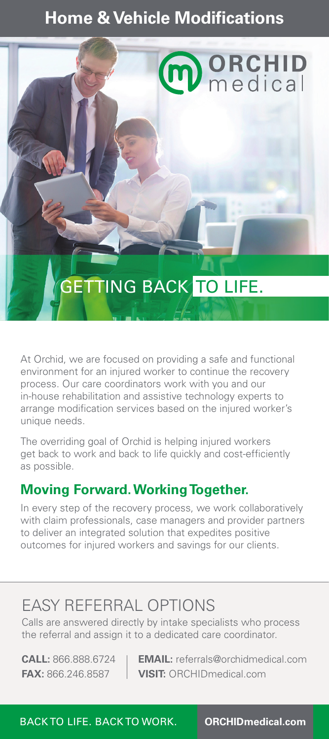## **Home & Vehicle Modifications**



At Orchid, we are focused on providing a safe and functional environment for an injured worker to continue the recovery process. Our care coordinators work with you and our in-house rehabilitation and assistive technology experts to arrange modification services based on the injured worker's unique needs.

The overriding goal of Orchid is helping injured workers get back to work and back to life quickly and cost-efficiently as possible.

## **Moving Forward. Working Together.**

In every step of the recovery process, we work collaboratively with claim professionals, case managers and provider partners to deliver an integrated solution that expedites positive outcomes for injured workers and savings for our clients.

# EASY REFERRAL OPTIONS

Calls are answered directly by intake specialists who process the referral and assign it to a dedicated care coordinator.

**CALL:** 866.888.6724 **EMAIL:** referrals@orchidmedical.com **FAX:** 866.246.8587 **VISIT:** ORCHIDmedical.com

BACK TO LIFE. BACK TO WORK. **ORCHIDmedical.com**